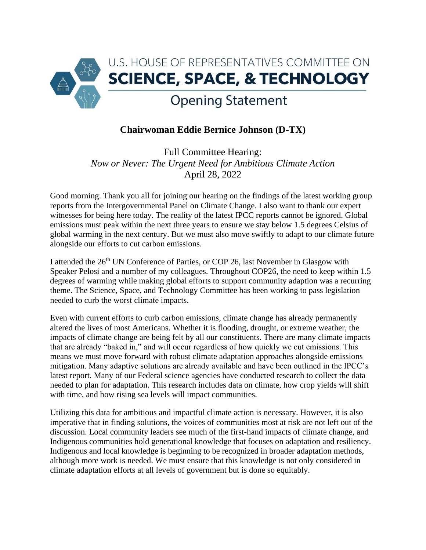

## **Chairwoman Eddie Bernice Johnson (D-TX)**

Full Committee Hearing: *Now or Never: The Urgent Need for Ambitious Climate Action* April 28, 2022

Good morning. Thank you all for joining our hearing on the findings of the latest working group reports from the Intergovernmental Panel on Climate Change. I also want to thank our expert witnesses for being here today. The reality of the latest IPCC reports cannot be ignored. Global emissions must peak within the next three years to ensure we stay below 1.5 degrees Celsius of global warming in the next century. But we must also move swiftly to adapt to our climate future alongside our efforts to cut carbon emissions.

I attended the 26<sup>th</sup> UN Conference of Parties, or COP 26, last November in Glasgow with Speaker Pelosi and a number of my colleagues. Throughout COP26, the need to keep within 1.5 degrees of warming while making global efforts to support community adaption was a recurring theme. The Science, Space, and Technology Committee has been working to pass legislation needed to curb the worst climate impacts.

Even with current efforts to curb carbon emissions, climate change has already permanently altered the lives of most Americans. Whether it is flooding, drought, or extreme weather, the impacts of climate change are being felt by all our constituents. There are many climate impacts that are already "baked in," and will occur regardless of how quickly we cut emissions. This means we must move forward with robust climate adaptation approaches alongside emissions mitigation. Many adaptive solutions are already available and have been outlined in the IPCC's latest report. Many of our Federal science agencies have conducted research to collect the data needed to plan for adaptation. This research includes data on climate, how crop yields will shift with time, and how rising sea levels will impact communities.

Utilizing this data for ambitious and impactful climate action is necessary. However, it is also imperative that in finding solutions, the voices of communities most at risk are not left out of the discussion. Local community leaders see much of the first-hand impacts of climate change, and Indigenous communities hold generational knowledge that focuses on adaptation and resiliency. Indigenous and local knowledge is beginning to be recognized in broader adaptation methods, although more work is needed. We must ensure that this knowledge is not only considered in climate adaptation efforts at all levels of government but is done so equitably.